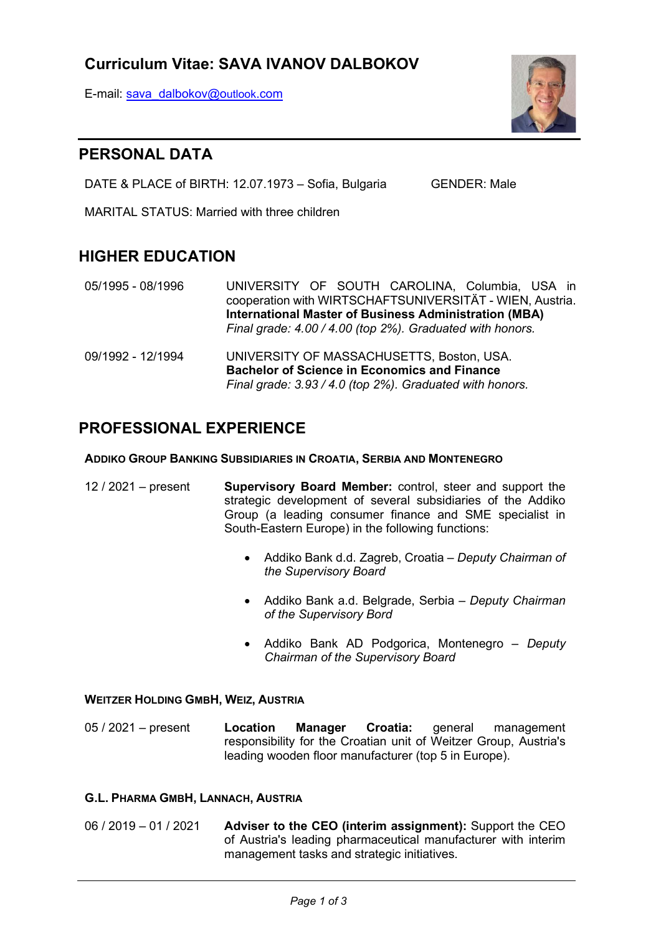# Curriculum Vitae: SAVA IVANOV DALBOKOV

E-mail: sava\_dalbokov@outlook.com



# PERSONAL DATA

DATE & PLACE of BIRTH: 12.07.1973 - Sofia, Bulgaria GENDER: Male

MARITAL STATUS: Married with three children

# HIGHER EDUCATION

- 05/1995 08/1996 UNIVERSITY OF SOUTH CAROLINA, Columbia, USA in cooperation with WIRTSCHAFTSUNIVERSITÄT - WIEN, Austria. International Master of Business Administration (MBA) Final grade: 4.00 / 4.00 (top 2%). Graduated with honors.
- 09/1992 12/1994 UNIVERSITY OF MASSACHUSETTS, Boston, USA. Bachelor of Science in Economics and Finance Final grade: 3.93 / 4.0 (top 2%). Graduated with honors.

# PROFESSIONAL EXPERIENCE

### ADDIKO GROUP BANKING SUBSIDIARIES IN CROATIA, SERBIA AND MONTENEGRO

- 12 / 2021 present Supervisory Board Member: control, steer and support the strategic development of several subsidiaries of the Addiko Group (a leading consumer finance and SME specialist in South-Eastern Europe) in the following functions:
	- Addiko Bank d.d. Zagreb, Croatia Deputy Chairman of the Supervisory Board
	- Addiko Bank a.d. Belgrade, Serbia Deputy Chairman of the Supervisory Bord
	- Addiko Bank AD Podgorica, Montenegro Deputy Chairman of the Supervisory Board

## WEITZER HOLDING GMBH, WEIZ, AUSTRIA

05 / 2021 – present Location Manager Croatia: general management responsibility for the Croatian unit of Weitzer Group, Austria's leading wooden floor manufacturer (top 5 in Europe).

### G.L. PHARMA GMBH, LANNACH, AUSTRIA

06 / 2019 – 01 / 2021 Adviser to the CEO (interim assignment): Support the CEO of Austria's leading pharmaceutical manufacturer with interim management tasks and strategic initiatives.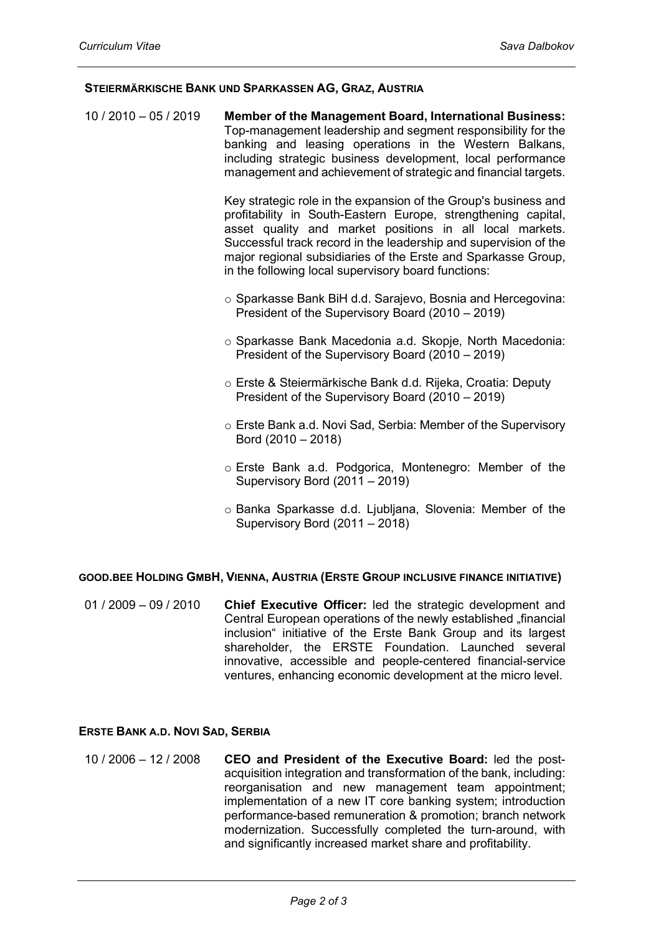#### STEIERMÄRKISCHE BANK UND SPARKASSEN AG, GRAZ, AUSTRIA

10 / 2010 – 05 / 2019 Member of the Management Board, International Business: Top-management leadership and segment responsibility for the banking and leasing operations in the Western Balkans, including strategic business development, local performance management and achievement of strategic and financial targets.

> Key strategic role in the expansion of the Group's business and profitability in South-Eastern Europe, strengthening capital, asset quality and market positions in all local markets. Successful track record in the leadership and supervision of the major regional subsidiaries of the Erste and Sparkasse Group, in the following local supervisory board functions:

- o Sparkasse Bank BiH d.d. Sarajevo, Bosnia and Hercegovina: President of the Supervisory Board (2010 – 2019)
- o Sparkasse Bank Macedonia a.d. Skopje, North Macedonia: President of the Supervisory Board (2010 – 2019)
- o Erste & Steiermärkische Bank d.d. Rijeka, Croatia: Deputy President of the Supervisory Board (2010 – 2019)
- o Erste Bank a.d. Novi Sad, Serbia: Member of the Supervisory Bord (2010 – 2018)
- o Erste Bank a.d. Podgorica, Montenegro: Member of the Supervisory Bord (2011 – 2019)
- o Banka Sparkasse d.d. Ljubljana, Slovenia: Member of the Supervisory Bord (2011 – 2018)

### GOOD.BEE HOLDING GMBH, VIENNA, AUSTRIA (ERSTE GROUP INCLUSIVE FINANCE INITIATIVE)

01 / 2009 – 09 / 2010 Chief Executive Officer: led the strategic development and Central European operations of the newly established "financial inclusion" initiative of the Erste Bank Group and its largest shareholder, the ERSTE Foundation. Launched several innovative, accessible and people-centered financial-service ventures, enhancing economic development at the micro level.

#### ERSTE BANK A.D. NOVI SAD, SERBIA

10 / 2006 – 12 / 2008 CEO and President of the Executive Board: led the postacquisition integration and transformation of the bank, including: reorganisation and new management team appointment; implementation of a new IT core banking system; introduction performance-based remuneration & promotion; branch network modernization. Successfully completed the turn-around, with and significantly increased market share and profitability.